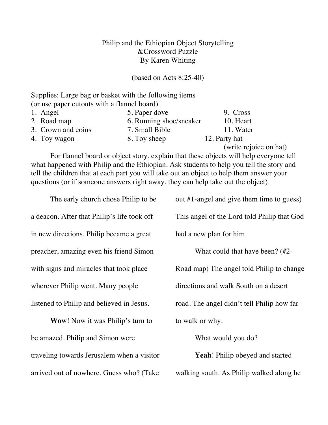## Philip and the Ethiopian Object Storytelling &Crossword Puzzle By Karen Whiting

(based on Acts 8:25-40)

Supplies: Large bag or basket with the following items (or use paper cutouts with a flannel board)

| 1. Angel           | 5. Paper dove           | 9. Cross      |
|--------------------|-------------------------|---------------|
| 2. Road map        | 6. Running shoe/sneaker | 10. Heart     |
| 3. Crown and coins | 7. Small Bible          | 11. Water     |
| 4. Toy wagon       | 8. Toy sheep            | 12. Party hat |
|                    |                         |               |

(write rejoice on hat)

For flannel board or object story, explain that these objects will help everyone tell what happened with Philip and the Ethiopian. Ask students to help you tell the story and tell the children that at each part you will take out an object to help them answer your questions (or if someone answers right away, they can help take out the object).

The early church chose Philip to be a deacon. After that Philip's life took off in new directions. Philip became a great preacher, amazing even his friend Simon with signs and miracles that took place wherever Philip went. Many people listened to Philip and believed in Jesus. **Wow**! Now it was Philip's turn to be amazed. Philip and Simon were traveling towards Jerusalem when a visitor arrived out of nowhere. Guess who? (Take out #1-angel and give them time to guess) This angel of the Lord told Philip that God had a new plan for him. What could that have been? (#2- Road map) The angel told Philip to change directions and walk South on a desert road. The angel didn't tell Philip how far to walk or why. What would you do? **Yeah**! Philip obeyed and started walking south. As Philip walked along he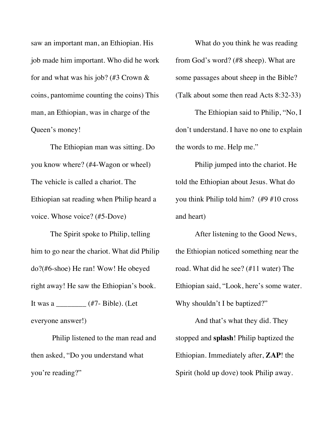saw an important man, an Ethiopian. His job made him important. Who did he work for and what was his job? (#3 Crown & coins, pantomime counting the coins) This man, an Ethiopian, was in charge of the Queen's money!

The Ethiopian man was sitting. Do you know where? (#4-Wagon or wheel) The vehicle is called a chariot. The Ethiopian sat reading when Philip heard a voice. Whose voice? (#5-Dove)

The Spirit spoke to Philip, telling him to go near the chariot. What did Philip do?(#6-shoe) He ran! Wow! He obeyed right away! He saw the Ethiopian's book. It was a \_\_\_\_\_\_\_\_ (#7- Bible). (Let everyone answer!)

Philip listened to the man read and then asked, "Do you understand what you're reading?"

What do you think he was reading from God's word? (#8 sheep). What are some passages about sheep in the Bible? (Talk about some then read Acts 8:32-33)

The Ethiopian said to Philip, "No, I don't understand. I have no one to explain the words to me. Help me."

Philip jumped into the chariot. He told the Ethiopian about Jesus. What do you think Philip told him? (#9 #10 cross and heart)

After listening to the Good News, the Ethiopian noticed something near the road. What did he see? (#11 water) The Ethiopian said, "Look, here's some water. Why shouldn't I be baptized?"

And that's what they did. They stopped and **splash**! Philip baptized the Ethiopian. Immediately after, **ZAP**! the Spirit (hold up dove) took Philip away.